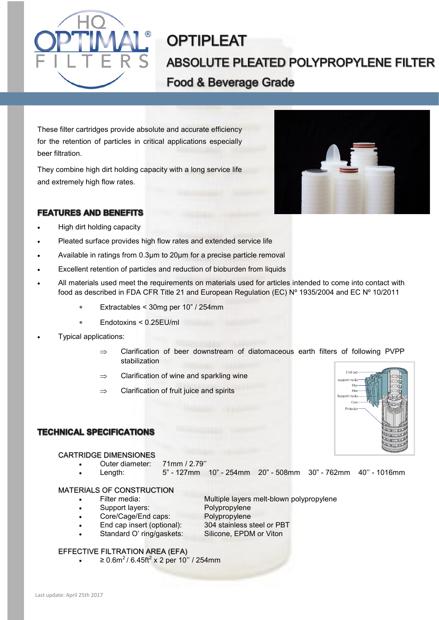

# **OPTIPLEAT ABSOLUTE PLEATED POLYPROPYLENE FILTER Food & Beverage Grade**

These filter cartridges provide absolute and accurate efficiency for the retention of particles in critical applications especially beer filtration.

They combine high dirt holding capacity with a long service life and extremely high flow rates.

## **FEATURES AND BENEFITS**



- High dirt holding capacity
- Pleated surface provides high flow rates and extended service life
- Available in ratings from 0.3µm to 20µm for a precise particle removal
- Excellent retention of particles and reduction of bioburden from liquids
- All materials used meet the requirements on materials used for articles intended to come into contact with food as described in FDA CFR Title 21 and European Regulation (EC) Nº 1935/2004 and EC Nº 10/2011
	- Extractables < 30mg per 10" / 254mm
	- Endotoxins < 0.25EU/ml
- Typical applications:
	- $\Rightarrow$  Clarification of beer downstream of diatomaceous earth filters of following PVPP stabilization
	- $\Rightarrow$  Clarification of wine and sparkling wine
	- $\Rightarrow$  Clarification of fruit juice and spirits



## **TECHNICAL SPECIFICATIONS**

#### CARTRIDGE DIMENSIONES

- Outer diameter: 71mm / 2.79''
- Length: 5" 127mm 10" 254mm 20" 508mm 30" 762mm 40'' 1016mm

#### MATERIALS OF CONSTRUCTION

- Filter media: Multiple layers melt-blown polypropylene
- Support layers: Polypropylene
- Core/Cage/End caps: Polypropylene
	-
- End cap insert (optional): 304 stainless steel or PBT
	- Standard O' ring/gaskets: Silicone, EPDM or Viton

#### EFFECTIVE FILTRATION AREA (EFA)

•  $\geq 0.6 \text{m}^2 / 6.45 \text{ft}^2 \times 2 \text{ per } 10'' / 254 \text{mm}$